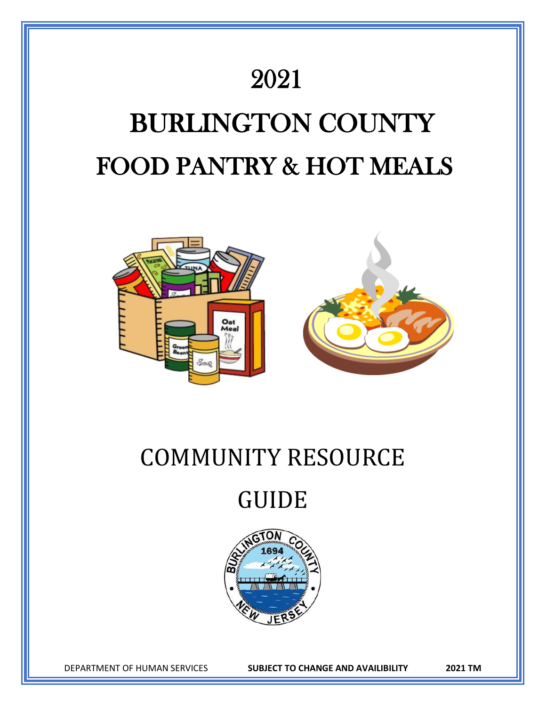

# COMMUNITY RESOURCE

# GUIDE



DEPARTMENT OF HUMAN SERVICES **SUBJECT TO CHANGE AND AVAILIBILITY 2021 TM**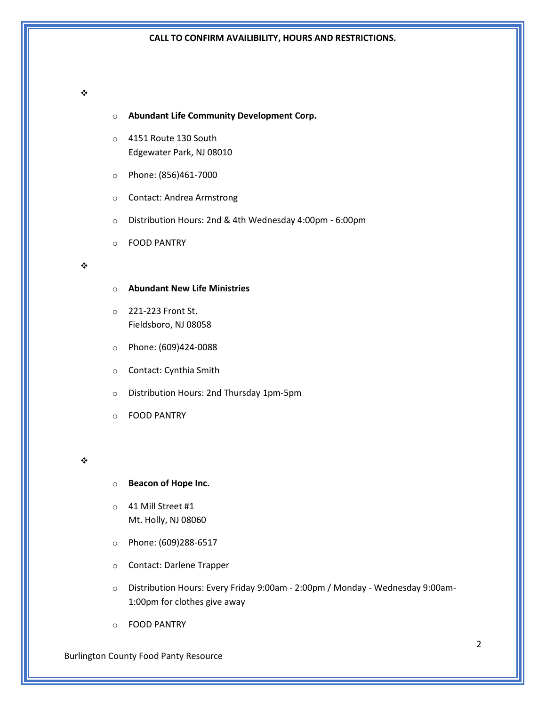# ❖

- o **Abundant Life Community Development Corp.**
- o 4151 Route 130 South Edgewater Park, NJ 08010
- o Phone: (856)461-7000
- o Contact: Andrea Armstrong
- o Distribution Hours: 2nd & 4th Wednesday 4:00pm 6:00pm
- o FOOD PANTRY

## ❖

- o **Abundant New Life Ministries**
- o 221-223 Front St. Fieldsboro, NJ 08058
- o Phone: (609)424-0088
- o Contact: Cynthia Smith
- o Distribution Hours: 2nd Thursday 1pm-5pm
- o FOOD PANTRY

#### ❖

- o **Beacon of Hope Inc.**
- o 41 Mill Street #1 Mt. Holly, NJ 08060
- o Phone: (609)288-6517
- o Contact: Darlene Trapper
- o Distribution Hours: Every Friday 9:00am 2:00pm / Monday Wednesday 9:00am-1:00pm for clothes give away
- o FOOD PANTRY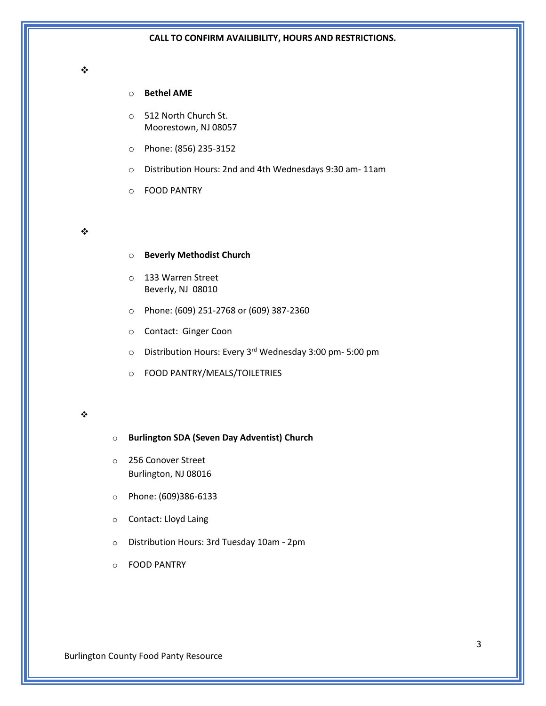## ❖

# o **Bethel AME**

o 512 North Church St. Moorestown, NJ 08057

- o Phone: (856) 235-3152
- o Distribution Hours: 2nd and 4th Wednesdays 9:30 am- 11am
- o FOOD PANTRY

## ❖

- o **Beverly Methodist Church**
- o 133 Warren Street Beverly, NJ 08010
- o Phone: (609) 251-2768 or (609) 387-2360
- o Contact: Ginger Coon
- o Distribution Hours: Every 3rd Wednesday 3:00 pm- 5:00 pm
- o FOOD PANTRY/MEALS/TOILETRIES

- o **Burlington SDA (Seven Day Adventist) Church**
- o 256 Conover Street Burlington, NJ 08016
- o Phone: (609)386-6133
- o Contact: Lloyd Laing
- o Distribution Hours: 3rd Tuesday 10am 2pm
- o FOOD PANTRY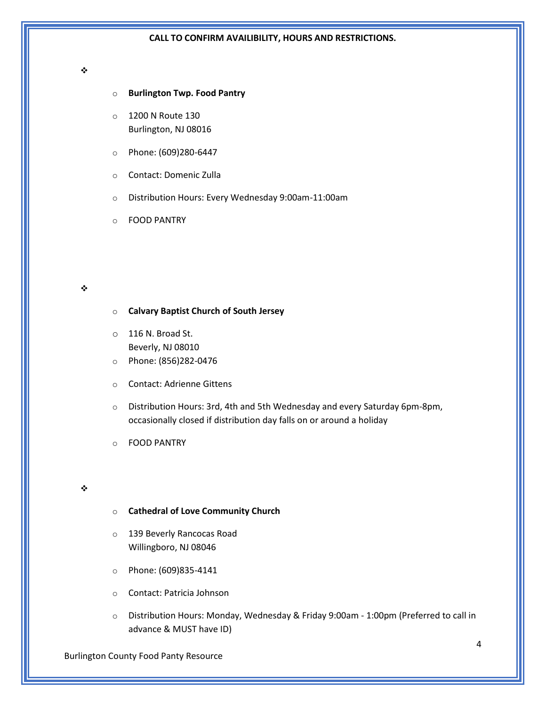#### ❖

## o **Burlington Twp. Food Pantry**

- o 1200 N Route 130 Burlington, NJ 08016
- o Phone: (609)280-6447
- o Contact: Domenic Zulla
- o Distribution Hours: Every Wednesday 9:00am-11:00am
- o FOOD PANTRY

#### ❖

# o **Calvary Baptist Church of South Jersey**

- o 116 N. Broad St. Beverly, NJ 08010
- o Phone: (856)282-0476
- o Contact: Adrienne Gittens
- o Distribution Hours: 3rd, 4th and 5th Wednesday and every Saturday 6pm-8pm, occasionally closed if distribution day falls on or around a holiday
- o FOOD PANTRY

### ❖

- o **Cathedral of Love Community Church**
- o 139 Beverly Rancocas Road Willingboro, NJ 08046
- o Phone: (609)835-4141
- o Contact: Patricia Johnson
- o Distribution Hours: Monday, Wednesday & Friday 9:00am 1:00pm (Preferred to call in advance & MUST have ID)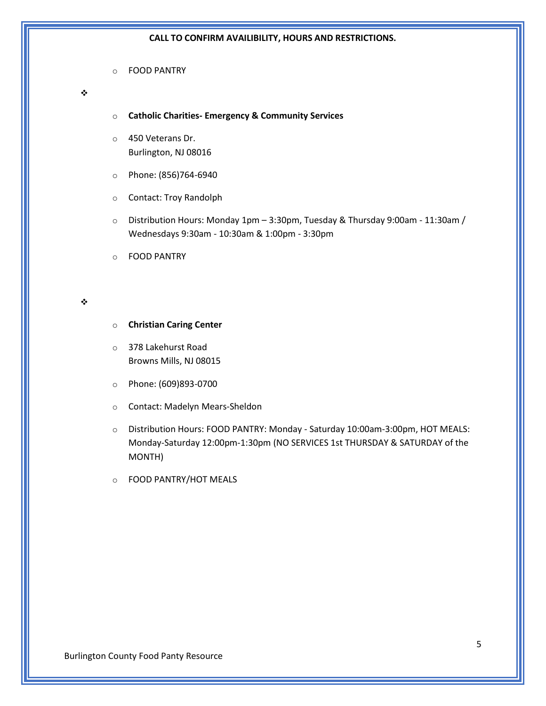o FOOD PANTRY

# ❖

- o **Catholic Charities- Emergency & Community Services**
- o 450 Veterans Dr. Burlington, NJ 08016
- o Phone: (856)764-6940
- o Contact: Troy Randolph
- o Distribution Hours: Monday 1pm 3:30pm, Tuesday & Thursday 9:00am 11:30am / Wednesdays 9:30am - 10:30am & 1:00pm - 3:30pm
- o FOOD PANTRY

#### ❖

- o **Christian Caring Center**
- o 378 Lakehurst Road Browns Mills, NJ 08015
- o Phone: (609)893-0700
- o Contact: Madelyn Mears-Sheldon
- o Distribution Hours: FOOD PANTRY: Monday Saturday 10:00am-3:00pm, HOT MEALS: Monday-Saturday 12:00pm-1:30pm (NO SERVICES 1st THURSDAY & SATURDAY of the MONTH)
- o FOOD PANTRY/HOT MEALS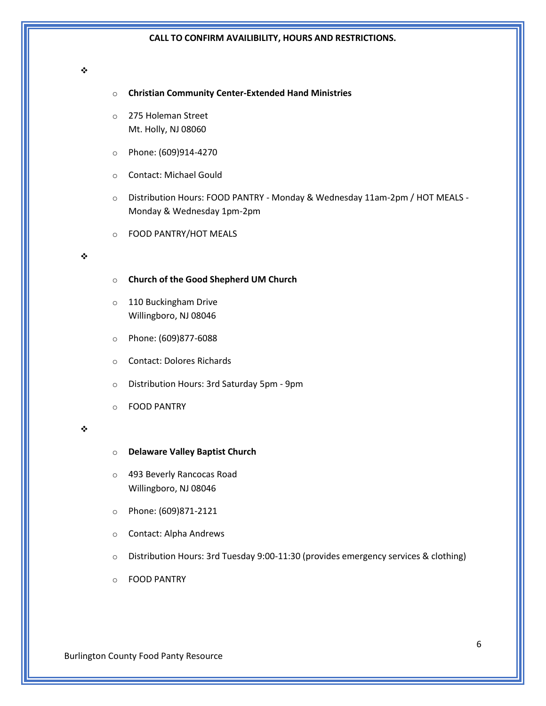#### ❖

- o **Christian Community Center-Extended Hand Ministries**
- o 275 Holeman Street Mt. Holly, NJ 08060
- o Phone: (609)914-4270
- o Contact: Michael Gould
- o Distribution Hours: FOOD PANTRY Monday & Wednesday 11am-2pm / HOT MEALS Monday & Wednesday 1pm-2pm
- o FOOD PANTRY/HOT MEALS

#### ❖

- o **Church of the Good Shepherd UM Church**
- o 110 Buckingham Drive Willingboro, NJ 08046
- o Phone: (609)877-6088
- o Contact: Dolores Richards
- o Distribution Hours: 3rd Saturday 5pm 9pm
- o FOOD PANTRY

- o **Delaware Valley Baptist Church**
- o 493 Beverly Rancocas Road Willingboro, NJ 08046
- o Phone: (609)871-2121
- o Contact: Alpha Andrews
- $\circ$  Distribution Hours: 3rd Tuesday 9:00-11:30 (provides emergency services & clothing)
- o FOOD PANTRY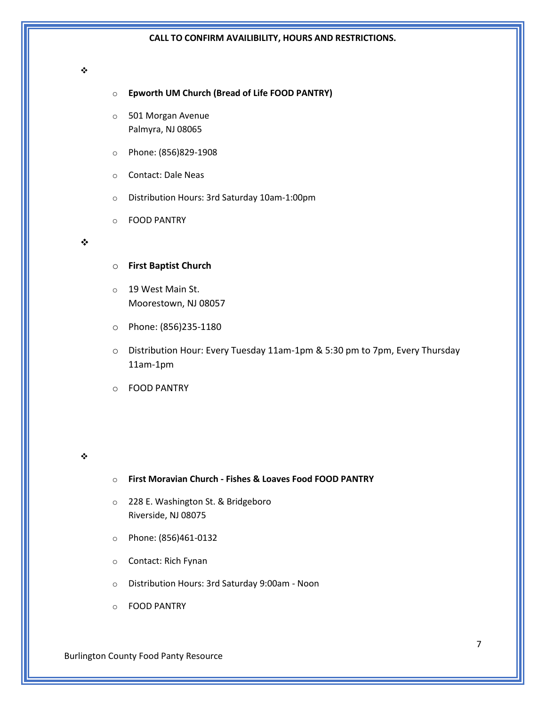#### ❖

- o **Epworth UM Church (Bread of Life FOOD PANTRY)**
- o 501 Morgan Avenue Palmyra, NJ 08065
- o Phone: (856)829-1908
- o Contact: Dale Neas
- o Distribution Hours: 3rd Saturday 10am-1:00pm
- o FOOD PANTRY

#### ❖

- o **First Baptist Church**
- o 19 West Main St. Moorestown, NJ 08057
- o Phone: (856)235-1180
- o Distribution Hour: Every Tuesday 11am-1pm & 5:30 pm to 7pm, Every Thursday 11am-1pm
- o FOOD PANTRY

#### ❖

# o **First Moravian Church - Fishes & Loaves Food FOOD PANTRY**

- o 228 E. Washington St. & Bridgeboro Riverside, NJ 08075
- o Phone: (856)461-0132
- o Contact: Rich Fynan
- o Distribution Hours: 3rd Saturday 9:00am Noon
- o FOOD PANTRY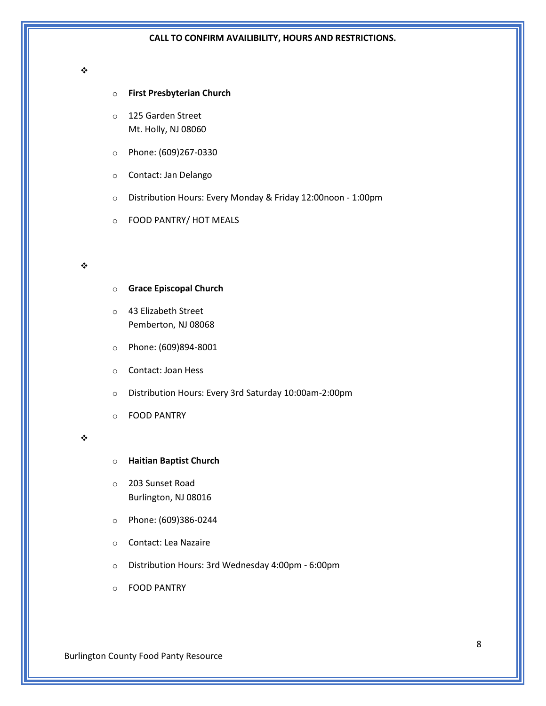#### ❖

## o **First Presbyterian Church**

- o 125 Garden Street Mt. Holly, NJ 08060
- o Phone: (609)267-0330
- o Contact: Jan Delango
- o Distribution Hours: Every Monday & Friday 12:00noon 1:00pm
- o FOOD PANTRY/ HOT MEALS

#### ❖

- o **Grace Episcopal Church**
- o 43 Elizabeth Street Pemberton, NJ 08068
- o Phone: (609)894-8001
- o Contact: Joan Hess
- o Distribution Hours: Every 3rd Saturday 10:00am-2:00pm
- o FOOD PANTRY

- o **Haitian Baptist Church**
- o 203 Sunset Road Burlington, NJ 08016
- o Phone: (609)386-0244
- o Contact: Lea Nazaire
- o Distribution Hours: 3rd Wednesday 4:00pm 6:00pm
- o FOOD PANTRY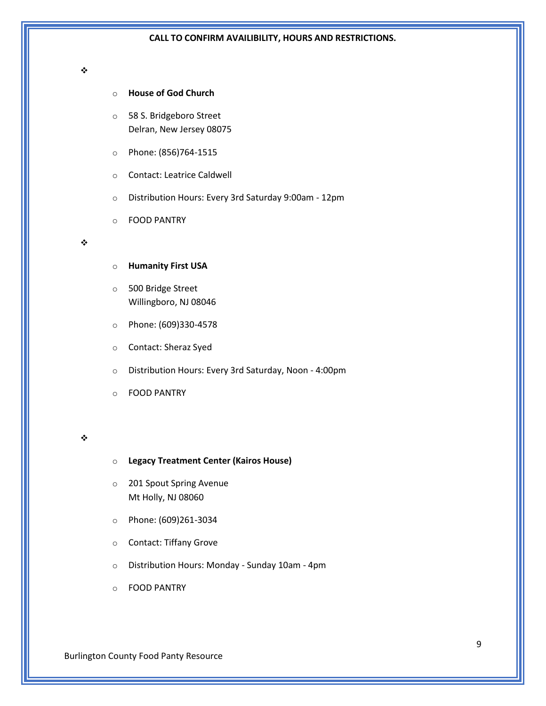#### ❖

# o **House of God Church**

- o 58 S. Bridgeboro Street Delran, New Jersey 08075
- o Phone: (856)764-1515
- o Contact: Leatrice Caldwell
- o Distribution Hours: Every 3rd Saturday 9:00am 12pm
- o FOOD PANTRY

#### ❖

- o **Humanity First USA**
- o 500 Bridge Street Willingboro, NJ 08046
- o Phone: (609)330-4578
- o Contact: Sheraz Syed
- o Distribution Hours: Every 3rd Saturday, Noon 4:00pm
- o FOOD PANTRY

## ❖

## o **Legacy Treatment Center (Kairos House)**

- o 201 Spout Spring Avenue Mt Holly, NJ 08060
- o Phone: (609)261-3034
- o Contact: Tiffany Grove
- o Distribution Hours: Monday Sunday 10am 4pm
- o FOOD PANTRY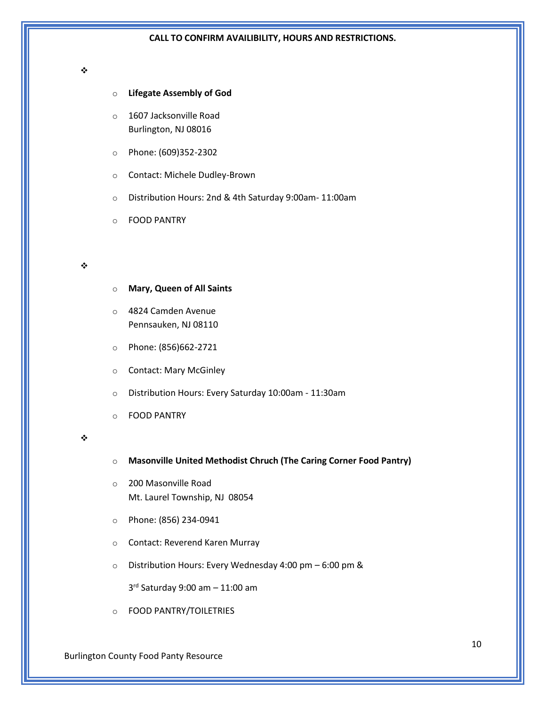#### ❖

# o **Lifegate Assembly of God**

- o 1607 Jacksonville Road Burlington, NJ 08016
- o Phone: (609)352-2302
- o Contact: Michele Dudley-Brown
- o Distribution Hours: 2nd & 4th Saturday 9:00am- 11:00am
- o FOOD PANTRY

#### ❖

- o **Mary, Queen of All Saints**
- o 4824 Camden Avenue Pennsauken, NJ 08110
- o Phone: (856)662-2721
- o Contact: Mary McGinley
- o Distribution Hours: Every Saturday 10:00am 11:30am
- o FOOD PANTRY

### ❖

- o **Masonville United Methodist Chruch (The Caring Corner Food Pantry)**
- o 200 Masonville Road Mt. Laurel Township, NJ 08054
- o Phone: (856) 234-0941
- o Contact: Reverend Karen Murray
- o Distribution Hours: Every Wednesday 4:00 pm 6:00 pm &

3 rd Saturday 9:00 am – 11:00 am

o FOOD PANTRY/TOILETRIES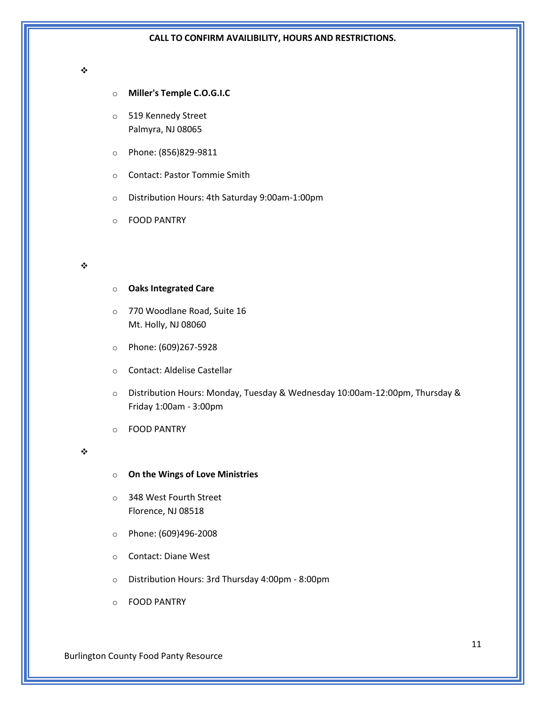#### ❖

- o **Miller's Temple C.O.G.I.C**
- o 519 Kennedy Street Palmyra, NJ 08065
- o Phone: (856)829-9811
- o Contact: Pastor Tommie Smith
- o Distribution Hours: 4th Saturday 9:00am-1:00pm
- o FOOD PANTRY

## ❖

- o **Oaks Integrated Care**
- o 770 Woodlane Road, Suite 16 Mt. Holly, NJ 08060
- o Phone: (609)267-5928
- o Contact: Aldelise Castellar
- o Distribution Hours: Monday, Tuesday & Wednesday 10:00am-12:00pm, Thursday & Friday 1:00am - 3:00pm
- o FOOD PANTRY

- o **On the Wings of Love Ministries**
- o 348 West Fourth Street Florence, NJ 08518
- o Phone: (609)496-2008
- o Contact: Diane West
- o Distribution Hours: 3rd Thursday 4:00pm 8:00pm
- o FOOD PANTRY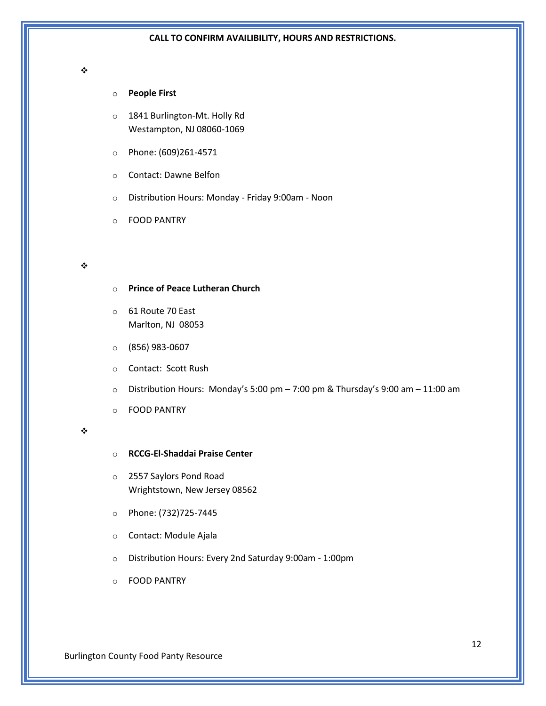#### ❖

# o **People First**

- o 1841 Burlington-Mt. Holly Rd Westampton, NJ 08060-1069
- o Phone: (609)261-4571
- o Contact: Dawne Belfon
- o Distribution Hours: Monday Friday 9:00am Noon
- o FOOD PANTRY

#### ❖

- o **Prince of Peace Lutheran Church**
- o 61 Route 70 East Marlton, NJ 08053
- o (856) 983-0607
- o Contact: Scott Rush
- $\circ$  Distribution Hours: Monday's 5:00 pm 7:00 pm & Thursday's 9:00 am 11:00 am
- o FOOD PANTRY

- o **RCCG-El-Shaddai Praise Center**
- o 2557 Saylors Pond Road Wrightstown, New Jersey 08562
- o Phone: (732)725-7445
- o Contact: Module Ajala
- o Distribution Hours: Every 2nd Saturday 9:00am 1:00pm
- o FOOD PANTRY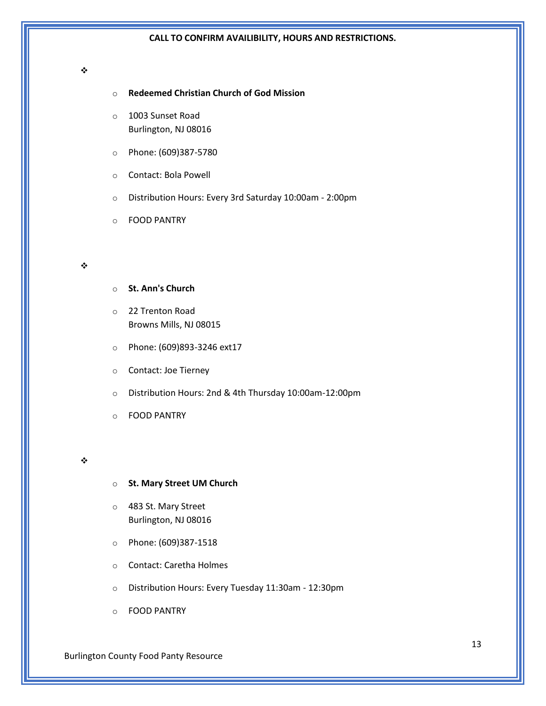#### ❖

# o **Redeemed Christian Church of God Mission**

- o 1003 Sunset Road Burlington, NJ 08016
- o Phone: (609)387-5780
- o Contact: Bola Powell
- o Distribution Hours: Every 3rd Saturday 10:00am 2:00pm
- o FOOD PANTRY

#### ❖

- o **St. Ann's Church**
- o 22 Trenton Road Browns Mills, NJ 08015
- o Phone: (609)893-3246 ext17
- o Contact: Joe Tierney
- o Distribution Hours: 2nd & 4th Thursday 10:00am-12:00pm
- o FOOD PANTRY

#### ❖

- o **St. Mary Street UM Church**
- o 483 St. Mary Street Burlington, NJ 08016
- o Phone: (609)387-1518
- o Contact: Caretha Holmes
- o Distribution Hours: Every Tuesday 11:30am 12:30pm
- o FOOD PANTRY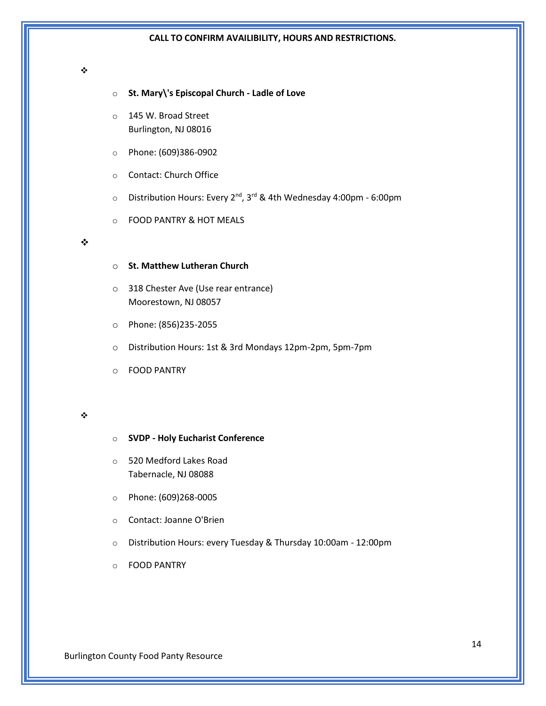#### ❖

- o **St. Mary\'s Episcopal Church - Ladle of Love**
- o 145 W. Broad Street Burlington, NJ 08016
- o Phone: (609)386-0902
- o Contact: Church Office
- o Distribution Hours: Every 2nd, 3rd & 4th Wednesday 4:00pm 6:00pm
- o FOOD PANTRY & HOT MEALS

#### ❖

- o **St. Matthew Lutheran Church**
- o 318 Chester Ave (Use rear entrance) Moorestown, NJ 08057
- o Phone: (856)235-2055
- o Distribution Hours: 1st & 3rd Mondays 12pm-2pm, 5pm-7pm
- o FOOD PANTRY

- o **SVDP - Holy Eucharist Conference**
- o 520 Medford Lakes Road Tabernacle, NJ 08088
- o Phone: (609)268-0005
- o Contact: Joanne O'Brien
- o Distribution Hours: every Tuesday & Thursday 10:00am 12:00pm
- o FOOD PANTRY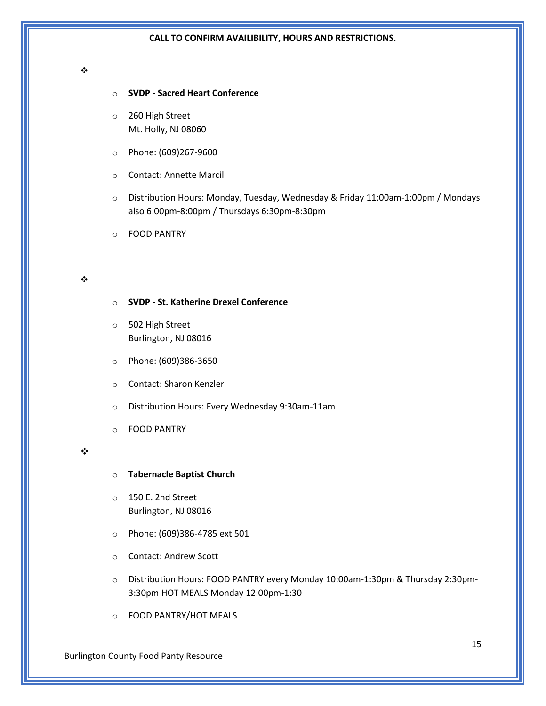#### ❖

## o **SVDP - Sacred Heart Conference**

- o 260 High Street Mt. Holly, NJ 08060
- o Phone: (609)267-9600
- o Contact: Annette Marcil
- o Distribution Hours: Monday, Tuesday, Wednesday & Friday 11:00am-1:00pm / Mondays also 6:00pm-8:00pm / Thursdays 6:30pm-8:30pm
- o FOOD PANTRY

# ❖

- o **SVDP - St. Katherine Drexel Conference**
- o 502 High Street Burlington, NJ 08016
- o Phone: (609)386-3650
- o Contact: Sharon Kenzler
- o Distribution Hours: Every Wednesday 9:30am-11am
- o FOOD PANTRY

#### ❖

- o **Tabernacle Baptist Church**
- o 150 E. 2nd Street Burlington, NJ 08016
- o Phone: (609)386-4785 ext 501
- o Contact: Andrew Scott
- o Distribution Hours: FOOD PANTRY every Monday 10:00am-1:30pm & Thursday 2:30pm-3:30pm HOT MEALS Monday 12:00pm-1:30
- o FOOD PANTRY/HOT MEALS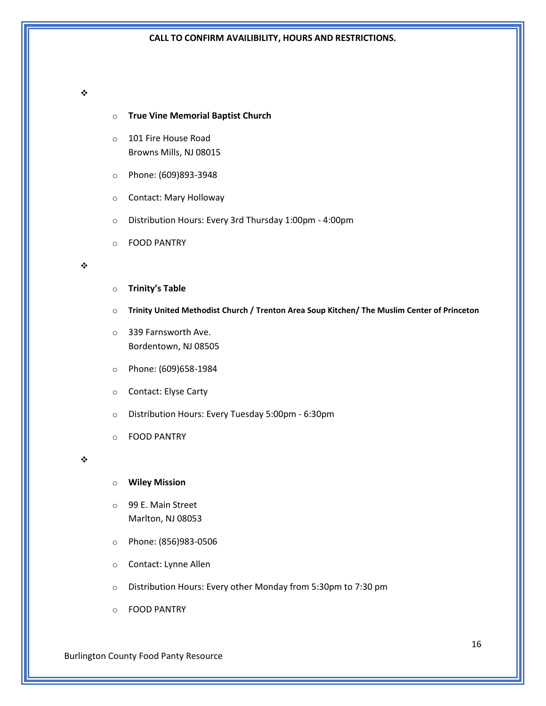# ❖

- o **True Vine Memorial Baptist Church**
- o 101 Fire House Road Browns Mills, NJ 08015
- o Phone: (609)893-3948
- o Contact: Mary Holloway
- o Distribution Hours: Every 3rd Thursday 1:00pm 4:00pm
- o FOOD PANTRY

# ❖

- o **Trinity's Table**
- o **Trinity United Methodist Church / Trenton Area Soup Kitchen/ The Muslim Center of Princeton**
- o 339 Farnsworth Ave. Bordentown, NJ 08505
- o Phone: (609)658-1984
- o Contact: Elyse Carty
- o Distribution Hours: Every Tuesday 5:00pm 6:30pm
- o FOOD PANTRY

#### ❖

# o **Wiley Mission**

- o 99 E. Main Street Marlton, NJ 08053
- o Phone: (856)983-0506
- o Contact: Lynne Allen
- o Distribution Hours: Every other Monday from 5:30pm to 7:30 pm
- o FOOD PANTRY